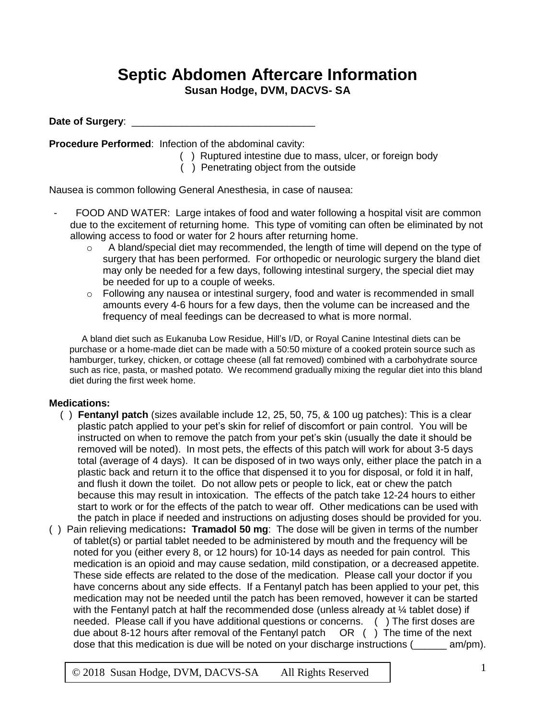## **Septic Abdomen Aftercare Information**

**Susan Hodge, DVM, DACVS- SA**

Date of Surgery:

**Procedure Performed**: Infection of the abdominal cavity:

- ( ) Ruptured intestine due to mass, ulcer, or foreign body
- ( ) Penetrating object from the outside

Nausea is common following General Anesthesia, in case of nausea:

- FOOD AND WATER: Large intakes of food and water following a hospital visit are common due to the excitement of returning home. This type of vomiting can often be eliminated by not allowing access to food or water for 2 hours after returning home.
	- $\circ$  A bland/special diet may recommended, the length of time will depend on the type of surgery that has been performed. For orthopedic or neurologic surgery the bland diet may only be needed for a few days, following intestinal surgery, the special diet may be needed for up to a couple of weeks.
	- $\circ$  Following any nausea or intestinal surgery, food and water is recommended in small amounts every 4-6 hours for a few days, then the volume can be increased and the frequency of meal feedings can be decreased to what is more normal.

A bland diet such as Eukanuba Low Residue, Hill's I/D, or Royal Canine Intestinal diets can be purchase or a home-made diet can be made with a 50:50 mixture of a cooked protein source such as hamburger, turkey, chicken, or cottage cheese (all fat removed) combined with a carbohydrate source such as rice, pasta, or mashed potato. We recommend gradually mixing the regular diet into this bland diet during the first week home.

## **Medications:**

- ( ) **Fentanyl patch** (sizes available include 12, 25, 50, 75, & 100 ug patches): This is a clear plastic patch applied to your pet's skin for relief of discomfort or pain control. You will be instructed on when to remove the patch from your pet's skin (usually the date it should be removed will be noted). In most pets, the effects of this patch will work for about 3-5 days total (average of 4 days). It can be disposed of in two ways only, either place the patch in a plastic back and return it to the office that dispensed it to you for disposal, or fold it in half, and flush it down the toilet. Do not allow pets or people to lick, eat or chew the patch because this may result in intoxication. The effects of the patch take 12-24 hours to either start to work or for the effects of the patch to wear off. Other medications can be used with the patch in place if needed and instructions on adjusting doses should be provided for you.
- ( ) Pain relieving medications**: Tramadol 50 mg**: The dose will be given in terms of the number of tablet(s) or partial tablet needed to be administered by mouth and the frequency will be noted for you (either every 8, or 12 hours) for 10-14 days as needed for pain control. This medication is an opioid and may cause sedation, mild constipation, or a decreased appetite. These side effects are related to the dose of the medication. Please call your doctor if you have concerns about any side effects. If a Fentanyl patch has been applied to your pet, this medication may not be needed until the patch has been removed, however it can be started with the Fentanyl patch at half the recommended dose (unless already at  $\frac{1}{4}$  tablet dose) if needed. Please call if you have additional questions or concerns. ( ) The first doses are due about 8-12 hours after removal of the Fentanyl patch OR ( ) The time of the next dose that this medication is due will be noted on your discharge instructions (\_\_\_\_\_\_ am/pm).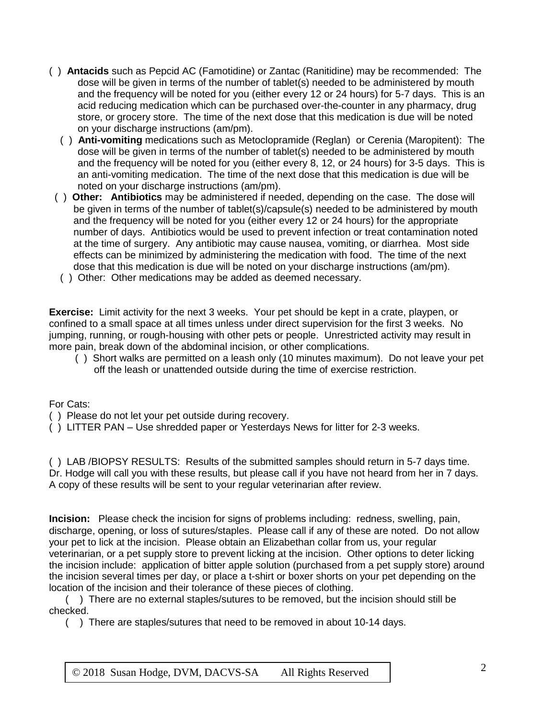- ( ) **Antacids** such as Pepcid AC (Famotidine) or Zantac (Ranitidine) may be recommended:The dose will be given in terms of the number of tablet(s) needed to be administered by mouth and the frequency will be noted for you (either every 12 or 24 hours) for 5-7 days. This is an acid reducing medication which can be purchased over-the-counter in any pharmacy, drug store, or grocery store. The time of the next dose that this medication is due will be noted on your discharge instructions (am/pm).
	- ( ) **Anti-vomiting** medications such as Metoclopramide (Reglan) or Cerenia (Maropitent): The dose will be given in terms of the number of tablet(s) needed to be administered by mouth and the frequency will be noted for you (either every 8, 12, or 24 hours) for 3-5 days. This is an anti-vomiting medication. The time of the next dose that this medication is due will be noted on your discharge instructions (am/pm).
- ( ) **Other: Antibiotics** may be administered if needed, depending on the case. The dose will be given in terms of the number of tablet(s)/capsule(s) needed to be administered by mouth and the frequency will be noted for you (either every 12 or 24 hours) for the appropriate number of days. Antibiotics would be used to prevent infection or treat contamination noted at the time of surgery. Any antibiotic may cause nausea, vomiting, or diarrhea. Most side effects can be minimized by administering the medication with food. The time of the next dose that this medication is due will be noted on your discharge instructions (am/pm).
- ( ) Other: Other medications may be added as deemed necessary.

**Exercise:** Limit activity for the next 3 weeks. Your pet should be kept in a crate, playpen, or confined to a small space at all times unless under direct supervision for the first 3 weeks. No jumping, running, or rough-housing with other pets or people. Unrestricted activity may result in more pain, break down of the abdominal incision, or other complications.

 ( ) Short walks are permitted on a leash only (10 minutes maximum). Do not leave your pet off the leash or unattended outside during the time of exercise restriction.

For Cats:

- ( ) Please do not let your pet outside during recovery.
- ( ) LITTER PAN Use shredded paper or Yesterdays News for litter for 2-3 weeks.

( ) LAB /BIOPSY RESULTS: Results of the submitted samples should return in 5-7 days time. Dr. Hodge will call you with these results, but please call if you have not heard from her in 7 days. A copy of these results will be sent to your regular veterinarian after review.

**Incision:** Please check the incision for signs of problems including: redness, swelling, pain, discharge, opening, or loss of sutures/staples. Please call if any of these are noted. Do not allow your pet to lick at the incision. Please obtain an Elizabethan collar from us, your regular veterinarian, or a pet supply store to prevent licking at the incision. Other options to deter licking the incision include: application of bitter apple solution (purchased from a pet supply store) around the incision several times per day, or place a t-shirt or boxer shorts on your pet depending on the location of the incision and their tolerance of these pieces of clothing.

( ) There are no external staples/sutures to be removed, but the incision should still be checked.

( ) There are staples/sutures that need to be removed in about 10-14 days.